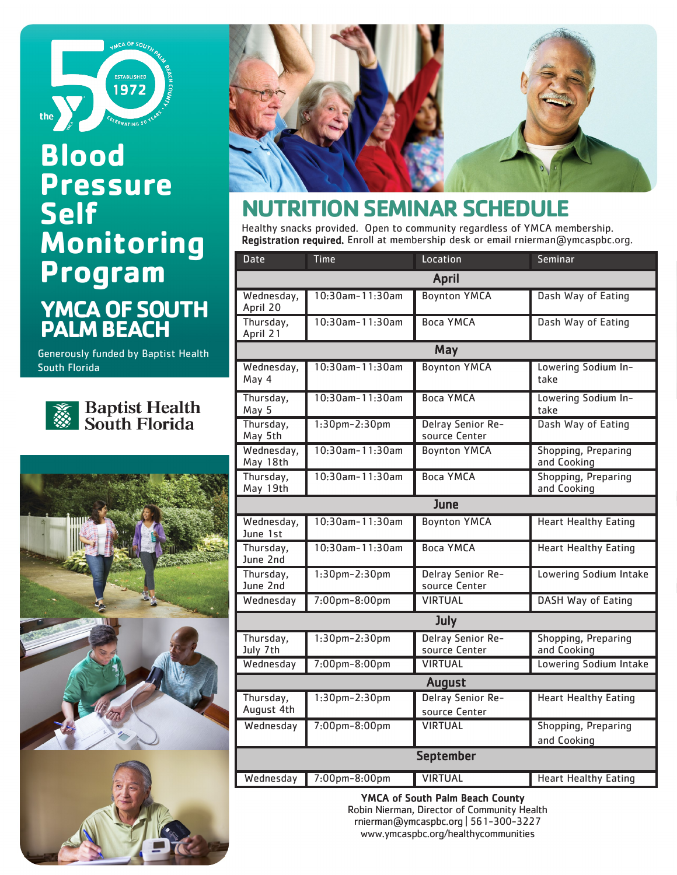

# **YMCA OF SOUTH PALM BEACH Blood Pressure Self Monitoring Program**

Generously funded by Baptist Health South Florida



**Baptist Health**<br>South Florida







## **NUTRITION SEMINAR SCHEDULE**

Healthy snacks provided. Open to community regardless of YMCA membership. Registration required. Enroll at membership desk or email rnierman@ymcaspbc.org.

| <b>Date</b>             | <b>Time</b>          | Location                           | Seminar                                   |  |  |
|-------------------------|----------------------|------------------------------------|-------------------------------------------|--|--|
| <b>April</b>            |                      |                                    |                                           |  |  |
| Wednesday,<br>April 20  | $10:30$ am-11:30am   | <b>Boynton YMCA</b>                | Dash Way of Eating                        |  |  |
| Thursday,<br>April 21   | 10:30am-11:30am      | <b>Boca YMCA</b>                   | Dash Way of Eating                        |  |  |
|                         | May                  |                                    |                                           |  |  |
| Wednesday,<br>May 4     | $10:30$ am-11:30am   | <b>Boynton YMCA</b>                | Lowering Sodium In-<br>take               |  |  |
| Thursday,<br>May 5      | 10:30am-11:30am      | <b>Boca YMCA</b>                   | Lowering Sodium In-<br>take               |  |  |
| Thursday,<br>May 5th    | $1:30$ pm-2:30pm     | Delray Senior Re-<br>source Center | Dash Way of Eating                        |  |  |
| Wednesday,<br>May 18th  | 10:30am-11:30am      | <b>Boynton YMCA</b>                | Shopping, Preparing<br>and Cooking        |  |  |
| Thursday,<br>May 19th   | 10:30am-11:30am      | <b>Boca YMCA</b>                   | Shopping, Preparing<br>and Cooking        |  |  |
|                         |                      | June                               |                                           |  |  |
| Wednesday,<br>June 1st  | 10:30am-11:30am      | <b>Boynton YMCA</b>                | <b>Heart Healthy Eating</b>               |  |  |
| Thursday,<br>June 2nd   | 10:30am-11:30am      | <b>Boca YMCA</b>                   | <b>Heart Healthy Eating</b>               |  |  |
| Thursday,<br>June 2nd   | 1:30pm-2:30pm        | Delray Senior Re-<br>source Center | Lowering Sodium Intake                    |  |  |
| Wednesday               | 7:00pm-8:00pm        | <b>VIRTUAL</b>                     | <b>DASH Way of Eating</b>                 |  |  |
| July                    |                      |                                    |                                           |  |  |
| Thursday,<br>July 7th   | $1:30$ pm-2:30pm     | Delray Senior Re-<br>source Center | <b>Shopping, Preparing</b><br>and Cooking |  |  |
| Wednesday               | 7:00pm-8:00pm        | <b>VIRTUAL</b>                     | Lowering Sodium Intake                    |  |  |
| <b>August</b>           |                      |                                    |                                           |  |  |
| Thursday,<br>August 4th | $1:30$ pm $-2:30$ pm | Delray Senior Re-<br>source Center | <b>Heart Healthy Eating</b>               |  |  |
| Wednesday               | 7:00pm-8:00pm        | <b>VIRTUAL</b>                     | <b>Shopping, Preparing</b><br>and Cooking |  |  |
| <b>September</b>        |                      |                                    |                                           |  |  |
| Wednesday               | 7:00pm-8:00pm        | <b>VIRTUAL</b>                     | <b>Heart Healthy Eating</b>               |  |  |

YMCA of South Palm Beach County

Robin Nierman, Director of Community Health rnierman@ymcaspbc.org | 561-300-3227 www.ymcaspbc.org/healthycommunities